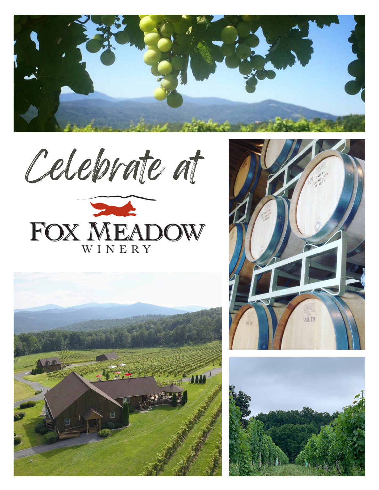

Celebrate at







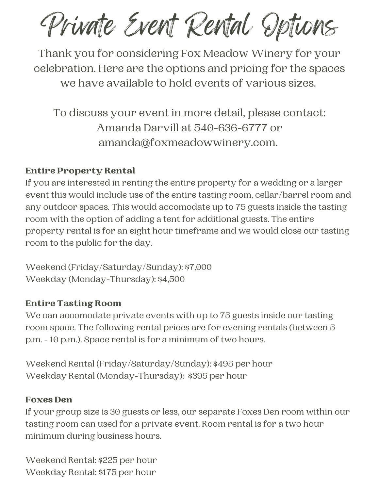Private Event Rental Options

Thank you for considering Fox Meadow Winery for your celebration. Here are the options and pricing for the spaces we have available to hold events of various sizes.

To discuss your event in more detail, please contact: Amanda Darvill at 540-636-6777 or amanda@foxmeadowwinery.com.

### Entire Property Rental

If you are interested in renting the entire property for a wedding or a larger event this would include use of the entire tasting room, cellar/barrel room and any outdoor spaces. This would accomodate up to 75 guests inside the tasting room with the option of adding a tent for additional guests. The entire property rental is for an eight hour timeframe and we would close our tasting room to the public for the day.

Weekend (Friday/Saturday/Sunday): \$7,000 Weekday (Monday-Thursday): \$4,500

#### Entire Tasting Room

We can accomodate private events with up to 75 guests inside our tasting room space. The following rental prices are for evening rentals (between 5 p.m. - 10 p.m.). Space rental is for a minimum of two hours.

Weekend Rental (Friday/Saturday/Sunday): \$495 per hour Weekday Rental (Monday-Thursday): \$395 per hour

#### Foxes Den

If your group size is 30 guests or less, our separate Foxes Den room within our tasting room can used for a private event. Room rental is for a two hour minimum during business hours.

Weekend Rental: \$225 per hour Weekday Rental: \$175 per hour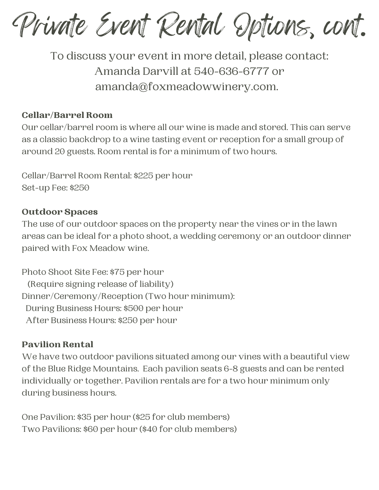Private Event Rental Options, cont.

To discuss your event in more detail, please contact: Amanda Darvill at 540-636-6777 or amanda@foxmeadowwinery.com.

### Cellar/Barrel Room

Our cellar/barrel room is where all our wine is made and stored. This can serve as a classic backdrop to a wine tasting event or reception for a small group of around 20 guests. Room rental is for a minimum of two hours.

Cellar/Barrel Room Rental: \$225 per hour Set-up Fee: \$250

#### Outdoor Spaces

The use of our outdoor spaces on the property near the vines or in the lawn areas can be ideal for a photo shoot, a wedding ceremony or an outdoor dinner paired with Fox Meadow wine.

Photo Shoot Site Fee: \$75 per hour (Require signing release of liability) Dinner/Ceremony/Reception (Two hour minimum): During Business Hours: \$500 per hour After Business Hours: \$250 per hour

#### Pavilion Rental

We have two outdoor pavilions situated among our vines with a beautiful view of the Blue Ridge Mountains. Each pavilion seats 6-8 guests and can be rented individually or together. Pavilion rentals are for a two hour minimum only during business hours.

One Pavilion: \$35 per hour (\$25 for club members) Two Pavilions: \$60 per hour (\$40 for club members)